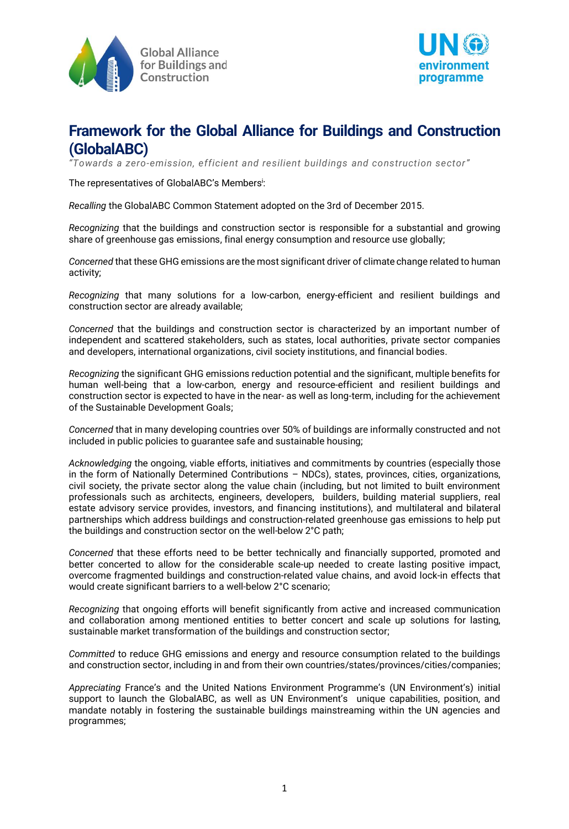



*ƈ8owards a zero-emission, efficient and resilient buildings and construction sectorƉ*

The representatives of GlobalABC's Members<sup>i</sup>:

*Recalling* the GlobalABC Common Statement adopted on the 3rd of December 2015.

*Recognizing* that the buildings and construction sector is responsible for a substantial and growing share of greenhouse gas emissions, final energy consumption and resource use globally;

*Concerned* that these GHG emissions are the most significant driver of climate change related to human activity;

*Recognizing* that many solutions for a low-carbon, energy-efficient and resilient buildings and construction sector are already available;

*Concerned* that the buildings and construction sector is characterized by an important number of independent and scattered stakeholders, such as states, local authorities, private sector companies and developers, international organizations, civil society institutions, and financial bodies.

*Recognizing* the significant GHG emissions reduction potential and the significant, multiple benefits for human well-being that a low-carbon, energy and resource-efficient and resilient buildings and construction sector is expected to have in the near- as well as long-term, including for the achievement of the Sustainable Development Goals;

*Concerned* that in many developing countries over 50% of buildings are informally constructed and not included in public policies to guarantee safe and sustainable housing;

*Acknowledging* the ongoing, viable efforts, initiatives and commitments by countries (especially those in the form of Nationally Determined Contributions  $-$  NDCs), states, provinces, cities, organizations, civil society, the private sector along the value chain (including, but not limited to built environment professionals such as architects, engineers, developers, builders, building material suppliers, real estate advisory service provides, investors, and financing institutions), and multilateral and bilateral partnerships which address buildings and construction-related greenhouse gas emissions to help put the buildings and construction sector on the well-below 2°C path;

*Concerned* that these efforts need to be better technically and financially supported, promoted and better concerted to allow for the considerable scale-up needed to create lasting positive impact, overcome fragmented buildings and construction-related value chains, and avoid lock-in effects that would create significant barriers to a well-below 2°C scenario;

*Recognizing* that ongoing efforts will benefit significantly from active and increased communication and collaboration among mentioned entities to better concert and scale up solutions for lasting, sustainable market transformation of the buildings and construction sector;

*Committed* to reduce GHG emissions and energy and resource consumption related to the buildings and construction sector, including in and from their own countries/states/provinces/cities/companies;

Appreciating France's and the United Nations Environment Programme's (UN Environment's) initial support to launch the GlobalABC, as well as UN Environment's unique capabilities, position, and mandate notably in fostering the sustainable buildings mainstreaming within the UN agencies and programmes;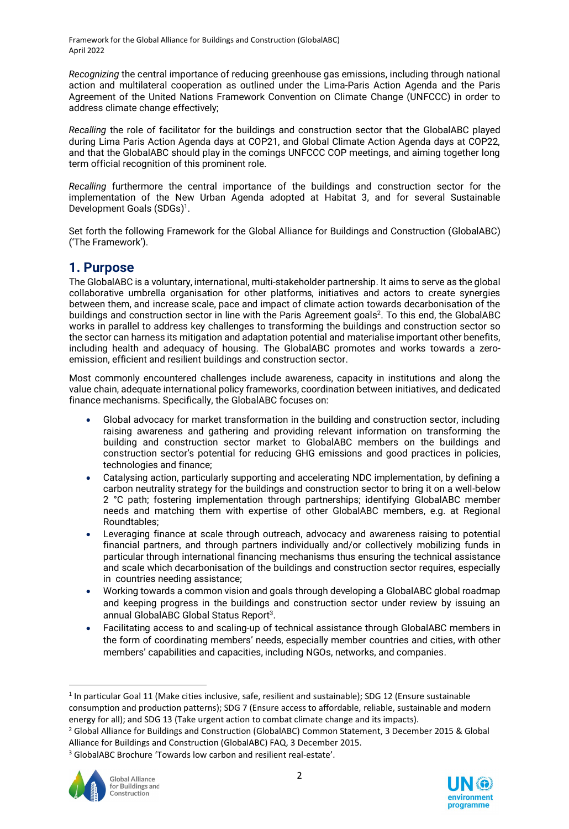*Recognizing* the central importance of reducing greenhouse gas emissions, including through national action and multilateral cooperation as outlined under the Lima-Paris Action Agenda and the Paris Agreement of the United Nations Framework Convention on Climate Change (UNFCCC) in order to address climate change effectively;

*Recalling* the role of facilitator for the buildings and construction sector that the GlobalABC played during Lima Paris Action Agenda days at COP21, and Global Climate Action Agenda days at COP22, and that the GlobalABC should play in the comings UNFCCC COP meetings, and aiming together long term official recognition of this prominent role.

*Recalling* furthermore the central importance of the buildings and construction sector for the implementation of the New Urban Agenda adopted at Habitat 3, and for several Sustainable Development Goals (SDGs) 1.

Set forth the following Framework for the Global Alliance for Buildings and Construction (GlobalABC) ('The Framework').

### **1. Purpose**

The GlobalABC is a voluntary, international, multi-stakeholder partnership. It aims to serve as the global collaborative umbrella organisation for other platforms, initiatives and actors to create synergies between them, and increase scale, pace and impact of climate action towards decarbonisation of the buildings and construction sector in line with the Paris Agreement goals<sup>2</sup>. To this end, the GlobalABC works in parallel to address key challenges to transforming the buildings and construction sector so the sector can harness its mitigation and adaptation potential and materialise important other benefits, including health and adequacy of housing. The GlobalABC promotes and works towards a zeroemission, efficient and resilient buildings and construction sector.

Most commonly encountered challenges include awareness, capacity in institutions and along the value chain, adequate international policy frameworks, coordination between initiatives, and dedicated finance mechanisms. Specifically, the GlobalABC focuses on:

- Global advocacy for market transformation in the building and construction sector, including raising awareness and gathering and providing relevant information on transforming the building and construction sector market to GlobalABC members on the buildings and construction sector's potential for reducing GHG emissions and good practices in policies, technologies and finance;
- Catalysing action, particularly supporting and accelerating NDC implementation, by defining a carbon neutrality strategy for the buildings and construction sector to bring it on a well-below 2 °C path; fostering implementation through partnerships; identifying GlobalABC member needs and matching them with expertise of other GlobalABC members, e.g. at Regional Roundtables;
- Leveraging finance at scale through outreach, advocacy and awareness raising to potential financial partners, and through partners individually and/or collectively mobilizing funds in particular through international financing mechanisms thus ensuring the technical assistance and scale which decarbonisation of the buildings and construction sector requires, especially in countries needing assistance;
- x Working towards a common vision and goals through developing a GlobalABC global roadmap and keeping progress in the buildings and construction sector under review by issuing an annual GlobalABC Global Status Report<sup>3</sup>.
- Facilitating access to and scaling-up of technical assistance through GlobalABC members in the form of coordinating members' needs, especially member countries and cities, with other members' capabilities and capacities, including NGOs, networks, and companies.

<sup>&</sup>lt;sup>3</sup> GlobalABC Brochure 'Towards low carbon and resilient real-estate'.





<sup>&</sup>lt;sup>1</sup> In particular Goal 11 (Make cities inclusive, safe, resilient and sustainable); SDG 12 (Ensure sustainable consumption and production patterns); SDG 7 (Ensure access to affordable, reliable, sustainable and modern energy for all); and SDG 13 (Take urgent action to combat climate change and its impacts).

<sup>2</sup> Global Alliance for Buildings and Construction (GlobalABC) Common Statement, 3 December 2015 & Global Alliance for Buildings and Construction (GlobalABC) FAQ, 3 December 2015.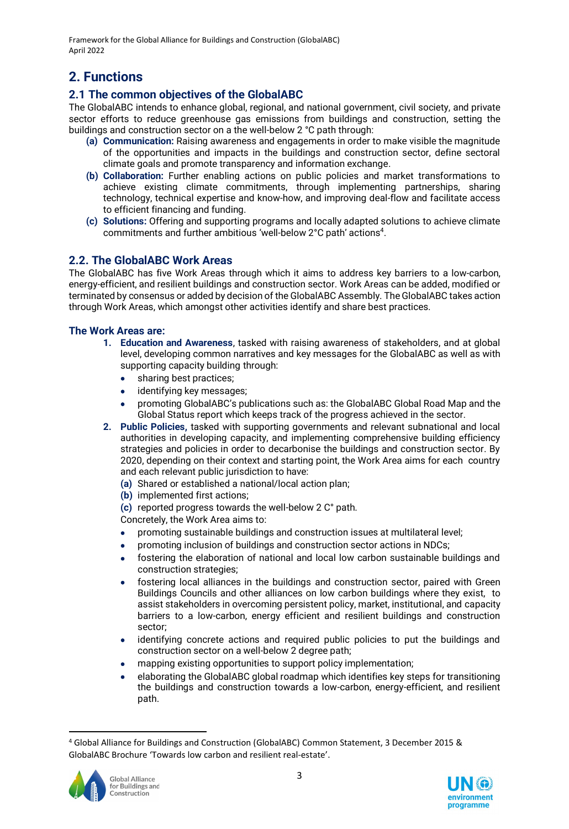## **2. Functions**

### **2.1 The common objectives of the GlobalABC**

The GlobalABC intends to enhance global, regional, and national government, civil society, and private sector efforts to reduce greenhouse gas emissions from buildings and construction, setting the buildings and construction sector on a the well-below 2 °C path through:

- **(a) Communication:** Raising awareness and engagements in order to make visible the magnitude of the opportunities and impacts in the buildings and construction sector, define sectoral climate goals and promote transparency and information exchange.
- **(b) Collaboration:** Further enabling actions on public policies and market transformations to achieve existing climate commitments, through implementing partnerships, sharing technology, technical expertise and know-how, and improving deal-flow and facilitate access to efficient financing and funding.
- **(c) Solutions:** Offering and supporting programs and locally adapted solutions to achieve climate commitments and further ambitious 'well-below 2°C path' actions<sup>4</sup>.

### **2.2. The GlobalABC Work Areas**

The GlobalABC has five Work Areas through which it aims to address key barriers to a low-carbon, energy-efficient, and resilient buildings and construction sector. Work Areas can be added, modified or terminated by consensus or added by decision of the GlobalABC Assembly. The GlobalABC takes action through Work Areas, which amongst other activities identify and share best practices.

#### **The Work Areas are:**

- **1. Education and Awareness**, tasked with raising awareness of stakeholders, and at global level, developing common narratives and key messages for the GlobalABC as well as with supporting capacity building through:
	- sharing best practices;
	- $\bullet$  identifying key messages;
	- promoting GlobalABC's publications such as: the GlobalABC Global Road Map and the Global Status report which keeps track of the progress achieved in the sector.
- **2. Public Policies,** tasked with supporting governments and relevant subnational and local authorities in developing capacity, and implementing comprehensive building efficiency strategies and policies in order to decarbonise the buildings and construction sector. By 2020, depending on their context and starting point, the Work Area aims for each country and each relevant public jurisdiction to have:
	- **(a)** Shared or established a national/local action plan;
	- **(b)** implemented first actions;
	- **(c)** reported progress towards the well-below 2 C° path.

Concretely, the Work Area aims to:

- promoting sustainable buildings and construction issues at multilateral level;
- promoting inclusion of buildings and construction sector actions in NDCs;
- fostering the elaboration of national and local low carbon sustainable buildings and construction strategies;
- fostering local alliances in the buildings and construction sector, paired with Green Buildings Councils and other alliances on low carbon buildings where they exist, to assist stakeholders in overcoming persistent policy, market, institutional, and capacity barriers to a low-carbon, energy efficient and resilient buildings and construction sector;
- identifying concrete actions and required public policies to put the buildings and construction sector on a well-below 2 degree path;
- mapping existing opportunities to support policy implementation;
- elaborating the GlobalABC global roadmap which identifies key steps for transitioning the buildings and construction towards a low-carbon, energy-efficient, and resilient path.

<sup>4</sup> Global Alliance for Buildings and Construction (GlobalABC) Common Statement, 3 December 2015 & GlobalABC Brochure 'Towards low carbon and resilient real-estate'.



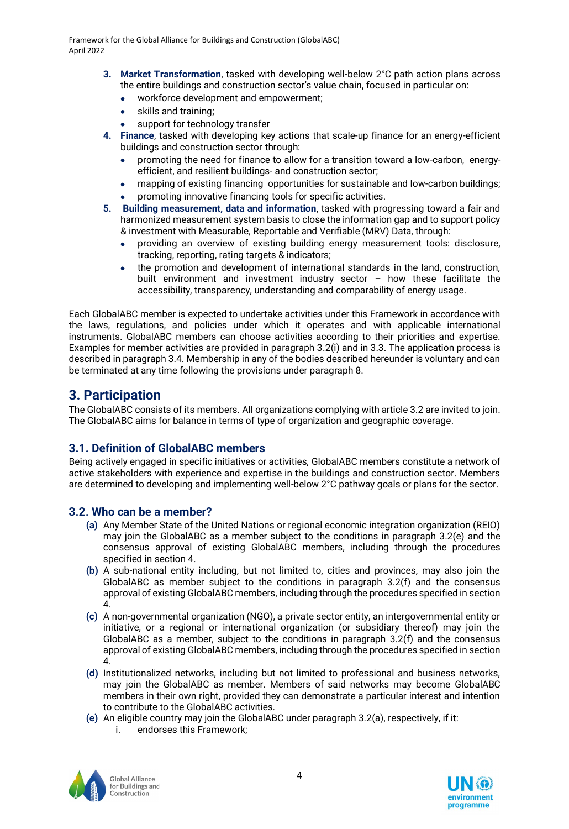- **3. Market Transformation**, tasked with developing well-below 2°C path action plans across the entire buildings and construction sector's value chain, focused in particular on:
	- x workforce development and empowerment;
	- $\bullet$  skills and training;
	- support for technology transfer
- **4. Finance**, tasked with developing key actions that scale-up finance for an energy-efficient buildings and construction sector through:
	- promoting the need for finance to allow for a transition toward a low-carbon, energyefficient, and resilient buildings- and construction sector;
	- mapping of existing financing opportunities for sustainable and low-carbon buildings;
	- promoting innovative financing tools for specific activities.
- **5. Building measurement, data and information**, tasked with progressing toward a fair and harmonized measurement system basis to close the information gap and to support policy & investment with Measurable, Reportable and Verifiable (MRV) Data, through:
	- x providing an overview of existing building energy measurement tools: disclosure, tracking, reporting, rating targets & indicators;
	- the promotion and development of international standards in the land, construction, built environment and investment industry sector  $-$  how these facilitate the accessibility, transparency, understanding and comparability of energy usage.

Each GlobalABC member is expected to undertake activities under this Framework in accordance with the laws, regulations, and policies under which it operates and with applicable international instruments. GlobalABC members can choose activities according to their priorities and expertise. Examples for member activities are provided in paragraph 3.2(i) and in 3.3. The application process is described in paragraph 3.4. Membership in any of the bodies described hereunder is voluntary and can be terminated at any time following the provisions under paragraph 8.

## **3. Participation**

The GlobalABC consists of its members. All organizations complying with article 3.2 are invited to join. The GlobalABC aims for balance in terms of type of organization and geographic coverage.

### **3.1. Definition of GlobalABC members**

Being actively engaged in specific initiatives or activities, GlobalABC members constitute a network of active stakeholders with experience and expertise in the buildings and construction sector. Members are determined to developing and implementing well-below 2°C pathway goals or plans for the sector.

### **3.2. Who can be a member?**

- **(a)** Any Member State of the United Nations or regional economic integration organization (REIO) may join the GlobalABC as a member subject to the conditions in paragraph 3.2(e) and the consensus approval of existing GlobalABC members, including through the procedures specified in section 4.
- **(b)** A sub-national entity including, but not limited to, cities and provinces, may also join the GlobalABC as member subject to the conditions in paragraph 3.2(f) and the consensus approval of existing GlobalABC members, including through the procedures specified in section 4.
- **(c)** A non-governmental organization (NGO), a private sector entity, an intergovernmental entity or initiative, or a regional or international organization (or subsidiary thereof) may join the GlobalABC as a member, subject to the conditions in paragraph 3.2(f) and the consensus approval of existing GlobalABC members, including through the procedures specified in section 4.
- **(d)** Institutionalized networks, including but not limited to professional and business networks, may join the GlobalABC as member. Members of said networks may become GlobalABC members in their own right, provided they can demonstrate a particular interest and intention to contribute to the GlobalABC activities.
- **(e)** An eligible country may join the GlobalABC under paragraph 3.2(a), respectively, if it:
	- i. endorses this Framework;



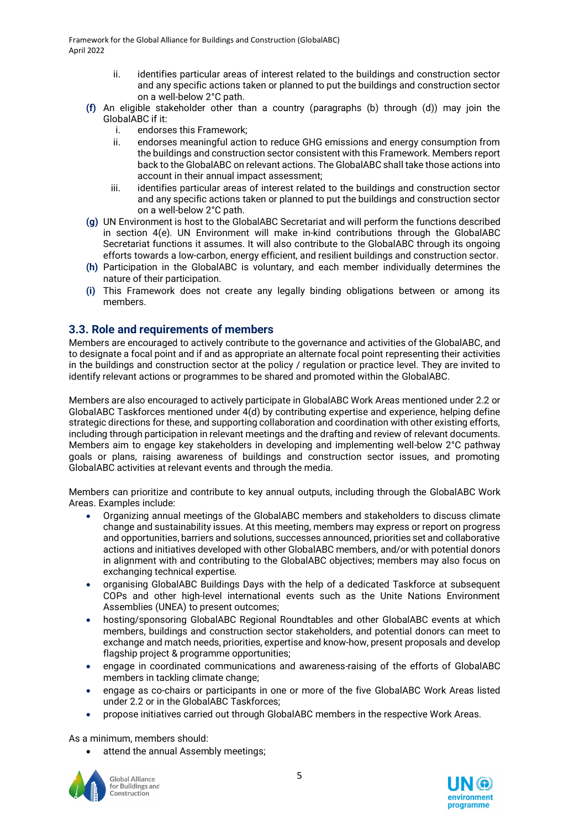- ii. identifies particular areas of interest related to the buildings and construction sector and any specific actions taken or planned to put the buildings and construction sector on a well-below 2°C path.
- **(f)** An eligible stakeholder other than a country (paragraphs (b) through (d)) may join the GlobalABC if it:
	- i. endorses this Framework;
	- ii. endorses meaningful action to reduce GHG emissions and energy consumption from the buildings and construction sector consistent with this Framework. Members report back to the GlobalABC on relevant actions. The GlobalABC shall take those actions into account in their annual impact assessment;
	- iii. identifies particular areas of interest related to the buildings and construction sector and any specific actions taken or planned to put the buildings and construction sector on a well-below 2°C path.
- **(g)** UN Environment is host to the GlobalABC Secretariat and will perform the functions described in section 4(e). UN Environment will make in-kind contributions through the GlobalABC Secretariat functions it assumes. It will also contribute to the GlobalABC through its ongoing efforts towards a low-carbon, energy efficient, and resilient buildings and construction sector.
- **(h)** Participation in the GlobalABC is voluntary, and each member individually determines the nature of their participation.
- **(i)** This Framework does not create any legally binding obligations between or among its members.

#### **3.3. Role and requirements of members**

Members are encouraged to actively contribute to the governance and activities of the GlobalABC, and to designate a focal point and if and as appropriate an alternate focal point representing their activities in the buildings and construction sector at the policy / regulation or practice level. They are invited to identify relevant actions or programmes to be shared and promoted within the GlobalABC.

Members are also encouraged to actively participate in GlobalABC Work Areas mentioned under 2.2 or GlobalABC Taskforces mentioned under 4(d) by contributing expertise and experience, helping define strategic directions for these, and supporting collaboration and coordination with other existing efforts, including through participation in relevant meetings and the drafting and review of relevant documents. Members aim to engage key stakeholders in developing and implementing well-below 2°C pathway goals or plans, raising awareness of buildings and construction sector issues, and promoting GlobalABC activities at relevant events and through the media.

Members can prioritize and contribute to key annual outputs, including through the GlobalABC Work Areas. Examples include:

- Organizing annual meetings of the GlobalABC members and stakeholders to discuss climate change and sustainability issues. At this meeting, members may express or report on progress and opportunities, barriers and solutions, successes announced, priorities set and collaborative actions and initiatives developed with other GlobalABC members, and/or with potential donors in alignment with and contributing to the GlobalABC objectives; members may also focus on exchanging technical expertise.
- x organising GlobalABC Buildings Days with the help of a dedicated Taskforce at subsequent COPs and other high-level international events such as the Unite Nations Environment Assemblies (UNEA) to present outcomes;
- hosting/sponsoring GlobalABC Regional Roundtables and other GlobalABC events at which members, buildings and construction sector stakeholders, and potential donors can meet to exchange and match needs, priorities, expertise and know-how, present proposals and develop flagship project & programme opportunities;
- engage in coordinated communications and awareness-raising of the efforts of GlobalABC members in tackling climate change;
- engage as co-chairs or participants in one or more of the five GlobalABC Work Areas listed under 2.2 or in the GlobalABC Taskforces;
- propose initiatives carried out through GlobalABC members in the respective Work Areas.

As a minimum, members should:

attend the annual Assembly meetings;



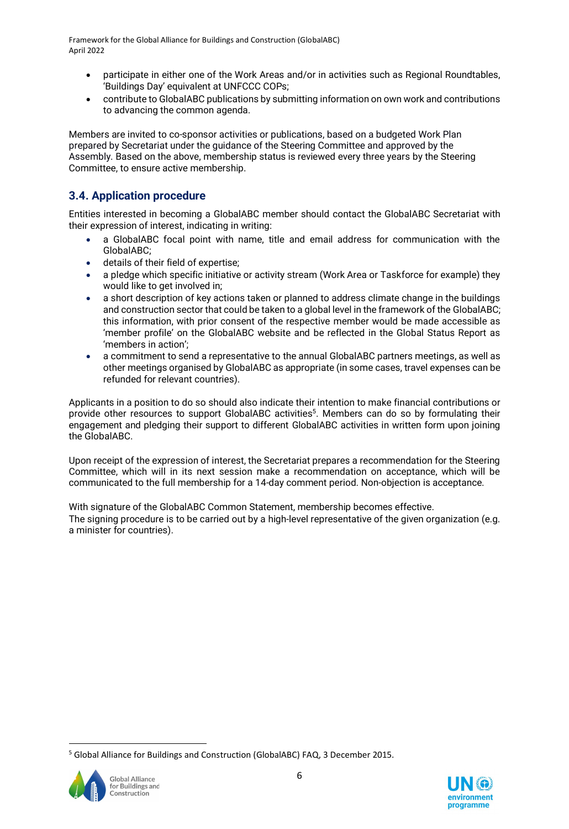- participate in either one of the Work Areas and/or in activities such as Regional Roundtables, 'Buildings Day' equivalent at UNFCCC COPs;
- x contribute to GlobalABC publications by submitting information on own work and contributions to advancing the common agenda.

Members are invited to co-sponsor activities or publications, based on a budgeted Work Plan prepared by Secretariat under the guidance of the Steering Committee and approved by the Assembly. Based on the above, membership status is reviewed every three years by the Steering Committee, to ensure active membership.

### **3.4. Application procedure**

Entities interested in becoming a GlobalABC member should contact the GlobalABC Secretariat with their expression of interest, indicating in writing:

- a GlobalABC focal point with name, title and email address for communication with the GlobalABC;
- **•** details of their field of expertise:
- a pledge which specific initiative or activity stream (Work Area or Taskforce for example) they would like to get involved in;
- a short description of key actions taken or planned to address climate change in the buildings and construction sector that could be taken to a global level in the framework of the GlobalABC; this information, with prior consent of the respective member would be made accessible as 'member profile' on the GlobalABC website and be reflected in the Global Status Report as 'members in action';
- a commitment to send a representative to the annual GlobalABC partners meetings, as well as other meetings organised by GlobalABC as appropriate (in some cases, travel expenses can be refunded for relevant countries).

Applicants in a position to do so should also indicate their intention to make financial contributions or provide other resources to support GlobalABC activities<sup>5</sup>. Members can do so by formulating their engagement and pledging their support to different GlobalABC activities in written form upon joining the GlobalABC.

Upon receipt of the expression of interest, the Secretariat prepares a recommendation for the Steering Committee, which will in its next session make a recommendation on acceptance, which will be communicated to the full membership for a 14-day comment period. Non-objection is acceptance.

With signature of the GlobalABC Common Statement, membership becomes effective. The signing procedure is to be carried out by a high-level representative of the given organization (e.g. a minister for countries).

<sup>5</sup> Global Alliance for Buildings and Construction (GlobalABC) FAQ, 3 December 2015.



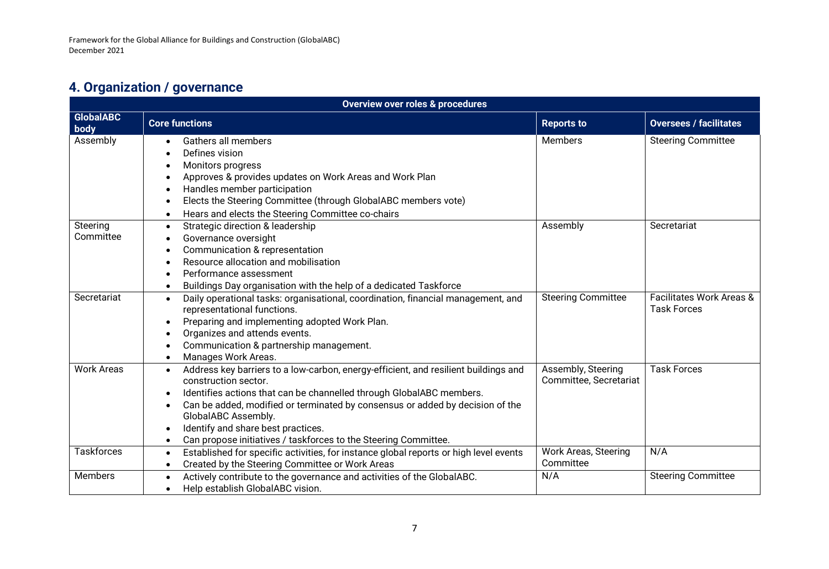# **4. Organization / governance**

| <b>Overview over roles &amp; procedures</b> |                                                                                                                              |                                              |                                                           |  |  |  |  |
|---------------------------------------------|------------------------------------------------------------------------------------------------------------------------------|----------------------------------------------|-----------------------------------------------------------|--|--|--|--|
| <b>GlobalABC</b><br>body                    | <b>Core functions</b>                                                                                                        | <b>Reports to</b>                            | <b>Oversees / facilitates</b>                             |  |  |  |  |
| Assembly                                    | Gathers all members                                                                                                          | <b>Members</b>                               | <b>Steering Committee</b>                                 |  |  |  |  |
|                                             | Defines vision                                                                                                               |                                              |                                                           |  |  |  |  |
|                                             | Monitors progress                                                                                                            |                                              |                                                           |  |  |  |  |
|                                             | Approves & provides updates on Work Areas and Work Plan                                                                      |                                              |                                                           |  |  |  |  |
|                                             | Handles member participation                                                                                                 |                                              |                                                           |  |  |  |  |
|                                             | Elects the Steering Committee (through GlobalABC members vote)                                                               |                                              |                                                           |  |  |  |  |
|                                             | Hears and elects the Steering Committee co-chairs<br>$\bullet$                                                               |                                              |                                                           |  |  |  |  |
| Steering                                    | Strategic direction & leadership<br>$\bullet$                                                                                | Assembly                                     | Secretariat                                               |  |  |  |  |
| Committee                                   | Governance oversight                                                                                                         |                                              |                                                           |  |  |  |  |
|                                             | Communication & representation                                                                                               |                                              |                                                           |  |  |  |  |
|                                             | Resource allocation and mobilisation                                                                                         |                                              |                                                           |  |  |  |  |
|                                             | Performance assessment                                                                                                       |                                              |                                                           |  |  |  |  |
|                                             | Buildings Day organisation with the help of a dedicated Taskforce                                                            |                                              |                                                           |  |  |  |  |
| Secretariat                                 | Daily operational tasks: organisational, coordination, financial management, and<br>$\bullet$<br>representational functions. | <b>Steering Committee</b>                    | <b>Facilitates Work Areas &amp;</b><br><b>Task Forces</b> |  |  |  |  |
|                                             | Preparing and implementing adopted Work Plan.<br>$\bullet$                                                                   |                                              |                                                           |  |  |  |  |
|                                             | Organizes and attends events.<br>$\bullet$                                                                                   |                                              |                                                           |  |  |  |  |
|                                             | Communication & partnership management.                                                                                      |                                              |                                                           |  |  |  |  |
|                                             | Manages Work Areas.<br>$\bullet$                                                                                             |                                              |                                                           |  |  |  |  |
| <b>Work Areas</b>                           | Address key barriers to a low-carbon, energy-efficient, and resilient buildings and<br>$\bullet$<br>construction sector.     | Assembly, Steering<br>Committee, Secretariat | <b>Task Forces</b>                                        |  |  |  |  |
|                                             | Identifies actions that can be channelled through GlobalABC members.                                                         |                                              |                                                           |  |  |  |  |
|                                             | Can be added, modified or terminated by consensus or added by decision of the                                                |                                              |                                                           |  |  |  |  |
|                                             | GlobalABC Assembly.                                                                                                          |                                              |                                                           |  |  |  |  |
|                                             | Identify and share best practices.                                                                                           |                                              |                                                           |  |  |  |  |
|                                             | Can propose initiatives / taskforces to the Steering Committee.<br>$\bullet$                                                 |                                              |                                                           |  |  |  |  |
| <b>Taskforces</b>                           | Established for specific activities, for instance global reports or high level events<br>$\bullet$                           | <b>Work Areas, Steering</b>                  | N/A                                                       |  |  |  |  |
|                                             | Created by the Steering Committee or Work Areas<br>$\bullet$                                                                 | Committee                                    |                                                           |  |  |  |  |
| <b>Members</b>                              | Actively contribute to the governance and activities of the GlobalABC.<br>$\bullet$                                          | N/A                                          | <b>Steering Committee</b>                                 |  |  |  |  |
|                                             | Help establish GlobalABC vision.                                                                                             |                                              |                                                           |  |  |  |  |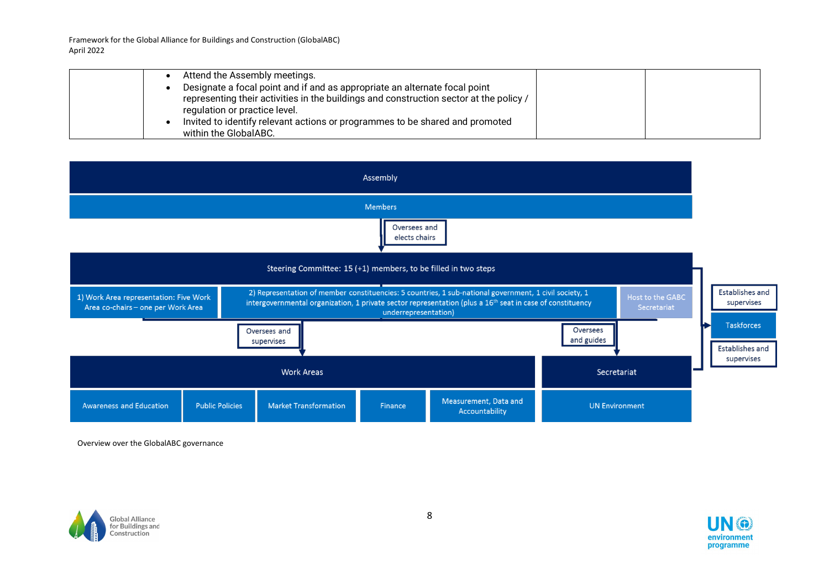|  | Attend the Assembly meetings.                                                          |  |
|--|----------------------------------------------------------------------------------------|--|
|  | Designate a focal point and if and as appropriate an alternate focal point             |  |
|  | representing their activities in the buildings and construction sector at the policy / |  |
|  | regulation or practice level.                                                          |  |
|  | Invited to identify relevant actions or programmes to be shared and promoted           |  |
|  | within the GlobalABC.                                                                  |  |



Overview over the GlobalABC governance



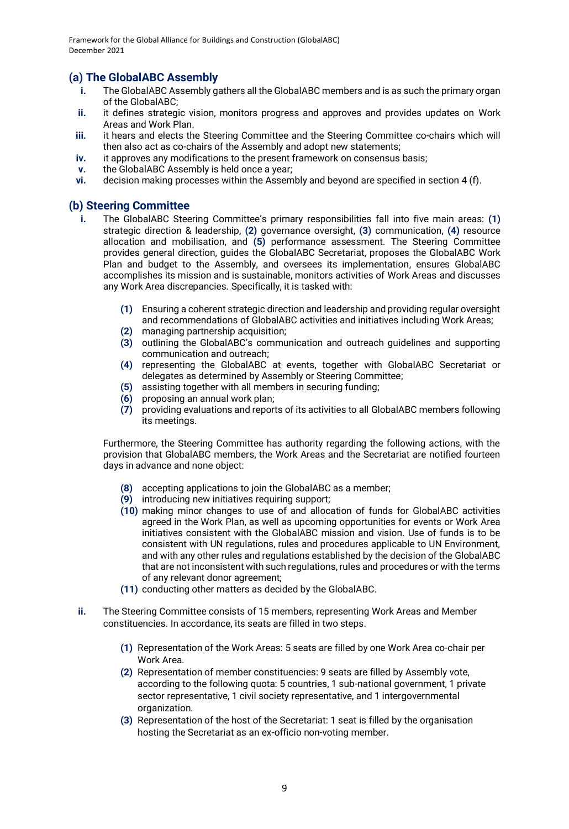### **(a) The GlobalABC Assembly**

- **i.** The GlobalABC Assembly gathers all the GlobalABC members and is as such the primary organ of the GlobalABC;
- **ii.** it defines strategic vision, monitors progress and approves and provides updates on Work Areas and Work Plan.
- **iii.** it hears and elects the Steering Committee and the Steering Committee co-chairs which will then also act as co-chairs of the Assembly and adopt new statements;
- **iv.** it approves any modifications to the present framework on consensus basis;
- **v.** the GlobalABC Assembly is held once a year;
- **vi.** decision making processes within the Assembly and beyond are specified in section 4 (f).

#### **(b) Steering Committee**

- The GlobalABC Steering Committee's primary responsibilities fall into five main areas: (1) strategic direction & leadership, **(2)** governance oversight, **(3)** communication, **(4)** resource allocation and mobilisation, and **(5)** performance assessment. The Steering Committee provides general direction, guides the GlobalABC Secretariat, proposes the GlobalABC Work Plan and budget to the Assembly, and oversees its implementation, ensures GlobalABC accomplishes its mission and is sustainable, monitors activities of Work Areas and discusses any Work Area discrepancies. Specifically, it is tasked with:
	- **(1)** Ensuring a coherent strategic direction and leadership and providing regular oversight and recommendations of GlobalABC activities and initiatives including Work Areas;
	- **(2)** managing partnership acquisition;
	- **(3)** outlining the GlobalABC's communication and outreach guidelines and supporting communication and outreach;
	- **(4)** representing the GlobalABC at events, together with GlobalABC Secretariat or delegates as determined by Assembly or Steering Committee;
	- **(5)** assisting together with all members in securing funding;
	- **(6)** proposing an annual work plan;
	- **(7)** providing evaluations and reports of its activities to all GlobalABC members following its meetings.

Furthermore, the Steering Committee has authority regarding the following actions, with the provision that GlobalABC members, the Work Areas and the Secretariat are notified fourteen days in advance and none object:

- **(8)** accepting applications to join the GlobalABC as a member;
- **(9)** introducing new initiatives requiring support;
- **(10)** making minor changes to use of and allocation of funds for GlobalABC activities agreed in the Work Plan, as well as upcoming opportunities for events or Work Area initiatives consistent with the GlobalABC mission and vision. Use of funds is to be consistent with UN regulations, rules and procedures applicable to UN Environment, and with any other rules and regulations established by the decision of the GlobalABC that are not inconsistent with such regulations, rules and procedures or with the terms of any relevant donor agreement;
- **(11)** conducting other matters as decided by the GlobalABC.
- **ii.** The Steering Committee consists of 15 members, representing Work Areas and Member constituencies. In accordance, its seats are filled in two steps.
	- **(1)** Representation of the Work Areas: 5 seats are filled by one Work Area co-chair per Work Area.
	- **(2)** Representation of member constituencies: 9 seats are filled by Assembly vote, according to the following quota: 5 countries, 1 sub-national government, 1 private sector representative, 1 civil society representative, and 1 intergovernmental organization.
	- **(3)** Representation of the host of the Secretariat: 1 seat is filled by the organisation hosting the Secretariat as an ex-officio non-voting member.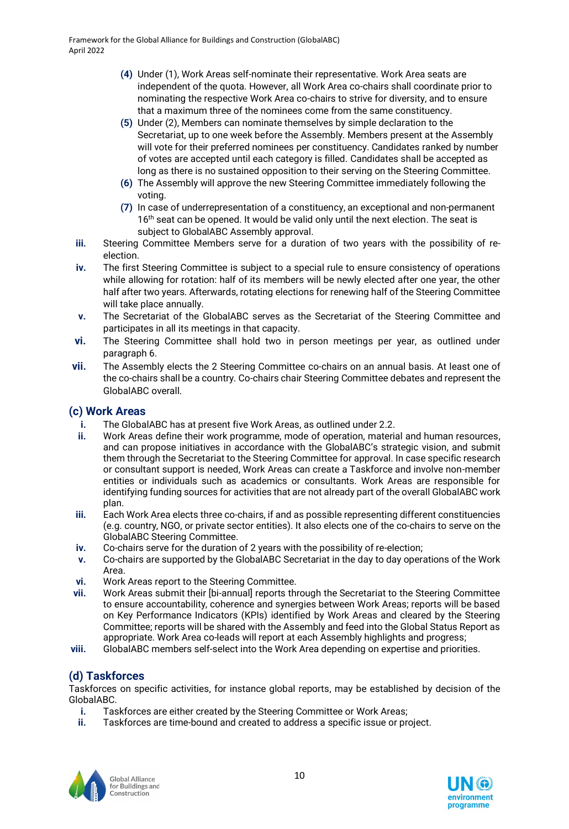- **(4)** Under (1), Work Areas self-nominate their representative. Work Area seats are independent of the quota. However, all Work Area co-chairs shall coordinate prior to nominating the respective Work Area co-chairs to strive for diversity, and to ensure that a maximum three of the nominees come from the same constituency.
- **(5)** Under (2), Members can nominate themselves by simple declaration to the Secretariat, up to one week before the Assembly. Members present at the Assembly will vote for their preferred nominees per constituency. Candidates ranked by number of votes are accepted until each category is filled. Candidates shall be accepted as long as there is no sustained opposition to their serving on the Steering Committee.
- **(6)** The Assembly will approve the new Steering Committee immediately following the voting.
- **(7)** In case of underrepresentation of a constituency, an exceptional and non-permanent 16<sup>th</sup> seat can be opened. It would be valid only until the next election. The seat is subject to GlobalABC Assembly approval.
- **iii.** Steering Committee Members serve for a duration of two years with the possibility of reelection.
- **iv.** The first Steering Committee is subject to a special rule to ensure consistency of operations while allowing for rotation: half of its members will be newly elected after one year, the other half after two years. Afterwards, rotating elections for renewing half of the Steering Committee will take place annually.
- **v.** The Secretariat of the GlobalABC serves as the Secretariat of the Steering Committee and participates in all its meetings in that capacity.
- **vi.** The Steering Committee shall hold two in person meetings per year, as outlined under paragraph 6.
- **vii.** The Assembly elects the 2 Steering Committee co-chairs on an annual basis. At least one of the co-chairs shall be a country. Co-chairs chair Steering Committee debates and represent the GlobalABC overall.

### **(c) Work Areas**

- **i.** The GlobalABC has at present five Work Areas, as outlined under 2.2.
- **ii.** Work Areas define their work programme, mode of operation, material and human resources, and can propose initiatives in accordance with the GlobalABC's strategic vision, and submit them through the Secretariat to the Steering Committee for approval. In case specific research or consultant support is needed, Work Areas can create a Taskforce and involve non-member entities or individuals such as academics or consultants. Work Areas are responsible for identifying funding sources for activities that are not already part of the overall GlobalABC work plan.
- **iii.** Each Work Area elects three co-chairs, if and as possible representing different constituencies (e.g. country, NGO, or private sector entities). It also elects one of the co-chairs to serve on the GlobalABC Steering Committee.
- **iv.** Co-chairs serve for the duration of 2 years with the possibility of re-election;
- **v.** Co-chairs are supported by the GlobalABC Secretariat in the day to day operations of the Work Area.
- **vi.** Work Areas report to the Steering Committee.
- **vii.** Work Areas submit their [bi-annual] reports through the Secretariat to the Steering Committee to ensure accountability, coherence and synergies between Work Areas; reports will be based on Key Performance Indicators (KPIs) identified by Work Areas and cleared by the Steering Committee; reports will be shared with the Assembly and feed into the Global Status Report as appropriate. Work Area co-leads will report at each Assembly highlights and progress;
- **viii.** GlobalABC members self-select into the Work Area depending on expertise and priorities.

### **(d) Taskforces**

Taskforces on specific activities, for instance global reports, may be established by decision of the GlobalABC.

- **i.** Taskforces are either created by the Steering Committee or Work Areas;
- Taskforces are time-bound and created to address a specific issue or project.



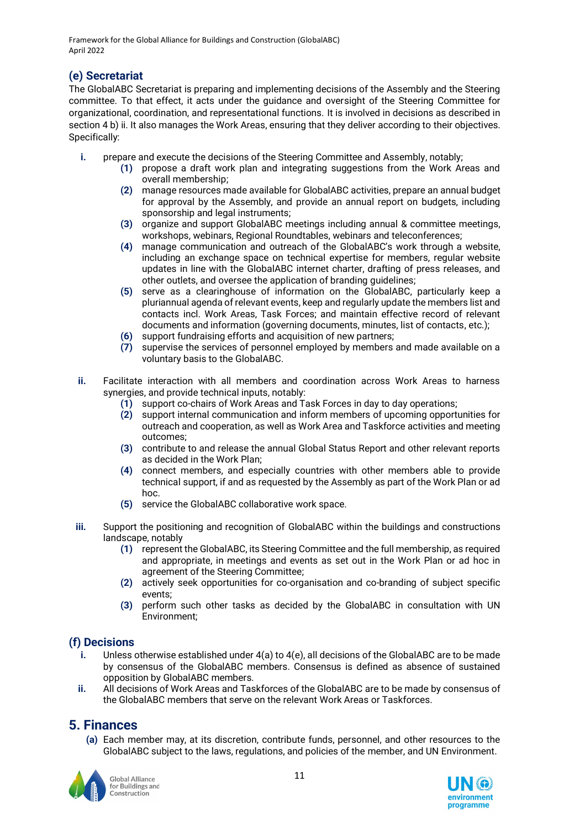### **(e) Secretariat**

The GlobalABC Secretariat is preparing and implementing decisions of the Assembly and the Steering committee. To that effect, it acts under the guidance and oversight of the Steering Committee for organizational, coordination, and representational functions. It is involved in decisions as described in section 4 b) ii. It also manages the Work Areas, ensuring that they deliver according to their objectives. Specifically:

- **i.** prepare and execute the decisions of the Steering Committee and Assembly, notably;
	- **(1)** propose a draft work plan and integrating suggestions from the Work Areas and overall membership;
	- **(2)** manage resources made available for GlobalABC activities, prepare an annual budget for approval by the Assembly, and provide an annual report on budgets, including sponsorship and legal instruments;
	- **(3)** organize and support GlobalABC meetings including annual & committee meetings, workshops, webinars, Regional Roundtables, webinars and teleconferences;
	- (4) manage communication and outreach of the GlobalABC's work through a website. including an exchange space on technical expertise for members, regular website updates in line with the GlobalABC internet charter, drafting of press releases, and other outlets, and oversee the application of branding guidelines;
	- **(5)** serve as a clearinghouse of information on the GlobalABC, particularly keep a pluriannual agenda of relevant events, keep and regularly update the members list and contacts incl. Work Areas, Task Forces; and maintain effective record of relevant documents and information (governing documents, minutes, list of contacts, etc.);
	- **(6)** support fundraising efforts and acquisition of new partners;
	- **(7)** supervise the services of personnel employed by members and made available on a voluntary basis to the GlobalABC.
- **ii.** Facilitate interaction with all members and coordination across Work Areas to harness synergies, and provide technical inputs, notably:
	- **(1)** support co-chairs of Work Areas and Task Forces in day to day operations;
	- **(2)** support internal communication and inform members of upcoming opportunities for outreach and cooperation, as well as Work Area and Taskforce activities and meeting outcomes;
	- **(3)** contribute to and release the annual Global Status Report and other relevant reports as decided in the Work Plan;
	- **(4)** connect members, and especially countries with other members able to provide technical support, if and as requested by the Assembly as part of the Work Plan or ad hoc.
	- **(5)** service the GlobalABC collaborative work space.
- **iii.** Support the positioning and recognition of GlobalABC within the buildings and constructions landscape, notably
	- **(1)** represent the GlobalABC, its Steering Committee and the full membership, as required and appropriate, in meetings and events as set out in the Work Plan or ad hoc in agreement of the Steering Committee;
	- **(2)** actively seek opportunities for co-organisation and co-branding of subject specific events;
	- **(3)** perform such other tasks as decided by the GlobalABC in consultation with UN Environment;

### **(f) Decisions**

- **i.** Unless otherwise established under 4(a) to 4(e), all decisions of the GlobalABC are to be made by consensus of the GlobalABC members. Consensus is defined as absence of sustained opposition by GlobalABC members.
- **ii.** All decisions of Work Areas and Taskforces of the GlobalABC are to be made by consensus of the GlobalABC members that serve on the relevant Work Areas or Taskforces.

### **5. Finances**

**(a)** Each member may, at its discretion, contribute funds, personnel, and other resources to the GlobalABC subject to the laws, regulations, and policies of the member, and UN Environment.



**Global Alliance** for Buildings and Construction

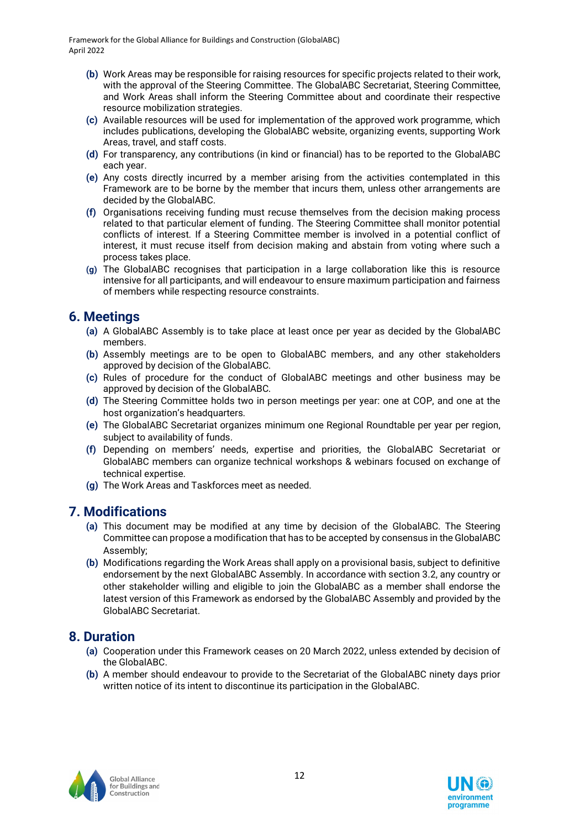- **(b)** Work Areas may be responsible for raising resources for specific projects related to their work, with the approval of the Steering Committee. The GlobalABC Secretariat, Steering Committee, and Work Areas shall inform the Steering Committee about and coordinate their respective resource mobilization strategies.
- **(c)** Available resources will be used for implementation of the approved work programme, which includes publications, developing the GlobalABC website, organizing events, supporting Work Areas, travel, and staff costs.
- **(d)** For transparency, any contributions (in kind or financial) has to be reported to the GlobalABC each year.
- **(e)** Any costs directly incurred by a member arising from the activities contemplated in this Framework are to be borne by the member that incurs them, unless other arrangements are decided by the GlobalABC.
- **(f)** Organisations receiving funding must recuse themselves from the decision making process related to that particular element of funding. The Steering Committee shall monitor potential conflicts of interest. If a Steering Committee member is involved in a potential conflict of interest, it must recuse itself from decision making and abstain from voting where such a process takes place.
- **(g)** The GlobalABC recognises that participation in a large collaboration like this is resource intensive for all participants, and will endeavour to ensure maximum participation and fairness of members while respecting resource constraints.

### **6. Meetings**

- **(a)** A GlobalABC Assembly is to take place at least once per year as decided by the GlobalABC members.
- **(b)** Assembly meetings are to be open to GlobalABC members, and any other stakeholders approved by decision of the GlobalABC.
- **(c)** Rules of procedure for the conduct of GlobalABC meetings and other business may be approved by decision of the GlobalABC.
- **(d)** The Steering Committee holds two in person meetings per year: one at COP, and one at the host organization's headquarters.
- **(e)** The GlobalABC Secretariat organizes minimum one Regional Roundtable per year per region, subject to availability of funds.
- (f) Depending on members' needs, expertise and priorities, the GlobalABC Secretariat or GlobalABC members can organize technical workshops & webinars focused on exchange of technical expertise.
- **(g)** The Work Areas and Taskforces meet as needed.

### **7. Modifications**

- **(a)** This document may be modified at any time by decision of the GlobalABC. The Steering Committee can propose a modification that has to be accepted by consensus in the GlobalABC Assembly;
- **(b)** Modifications regarding the Work Areas shall apply on a provisional basis, subject to definitive endorsement by the next GlobalABC Assembly. In accordance with section 3.2, any country or other stakeholder willing and eligible to join the GlobalABC as a member shall endorse the latest version of this Framework as endorsed by the GlobalABC Assembly and provided by the GlobalABC Secretariat.

### **8. Duration**

- **(a)** Cooperation under this Framework ceases on 20 March 2022, unless extended by decision of the GlobalABC.
- **(b)** A member should endeavour to provide to the Secretariat of the GlobalABC ninety days prior written notice of its intent to discontinue its participation in the GlobalABC.